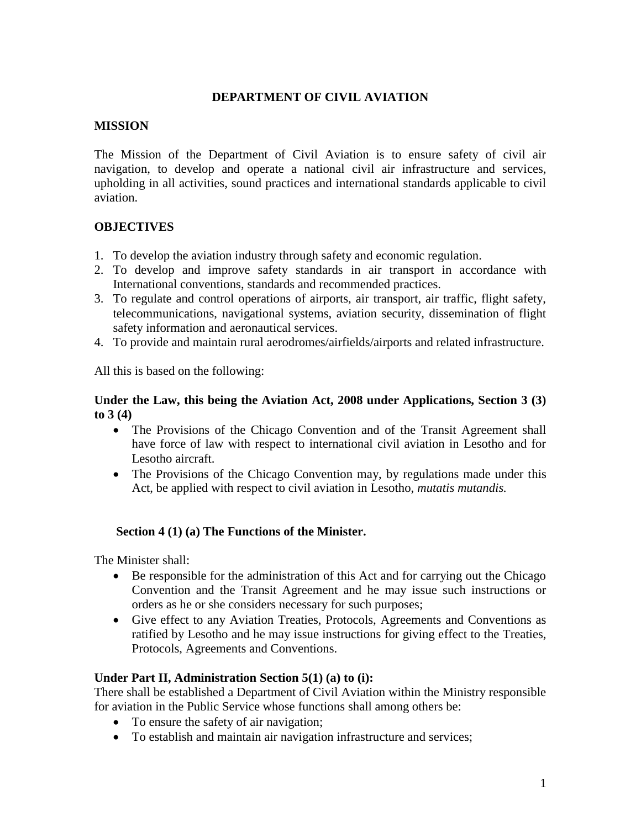# **DEPARTMENT OF CIVIL AVIATION**

### **MISSION**

The Mission of the Department of Civil Aviation is to ensure safety of civil air navigation, to develop and operate a national civil air infrastructure and services, upholding in all activities, sound practices and international standards applicable to civil aviation.

# **OBJECTIVES**

- 1. To develop the aviation industry through safety and economic regulation.
- 2. To develop and improve safety standards in air transport in accordance with International conventions, standards and recommended practices.
- 3. To regulate and control operations of airports, air transport, air traffic, flight safety, telecommunications, navigational systems, aviation security, dissemination of flight safety information and aeronautical services.
- 4. To provide and maintain rural aerodromes/airfields/airports and related infrastructure.

All this is based on the following:

### **Under the Law, this being the Aviation Act, 2008 under Applications, Section 3 (3) to 3 (4)**

- The Provisions of the Chicago Convention and of the Transit Agreement shall have force of law with respect to international civil aviation in Lesotho and for Lesotho aircraft.
- The Provisions of the Chicago Convention may, by regulations made under this Act, be applied with respect to civil aviation in Lesotho, *mutatis mutandis.*

# **Section 4 (1) (a) The Functions of the Minister.**

The Minister shall:

- Be responsible for the administration of this Act and for carrying out the Chicago Convention and the Transit Agreement and he may issue such instructions or orders as he or she considers necessary for such purposes;
- Give effect to any Aviation Treaties, Protocols, Agreements and Conventions as ratified by Lesotho and he may issue instructions for giving effect to the Treaties, Protocols, Agreements and Conventions.

# **Under Part II, Administration Section 5(1) (a) to (i):**

There shall be established a Department of Civil Aviation within the Ministry responsible for aviation in the Public Service whose functions shall among others be:

- To ensure the safety of air navigation;
- To establish and maintain air navigation infrastructure and services;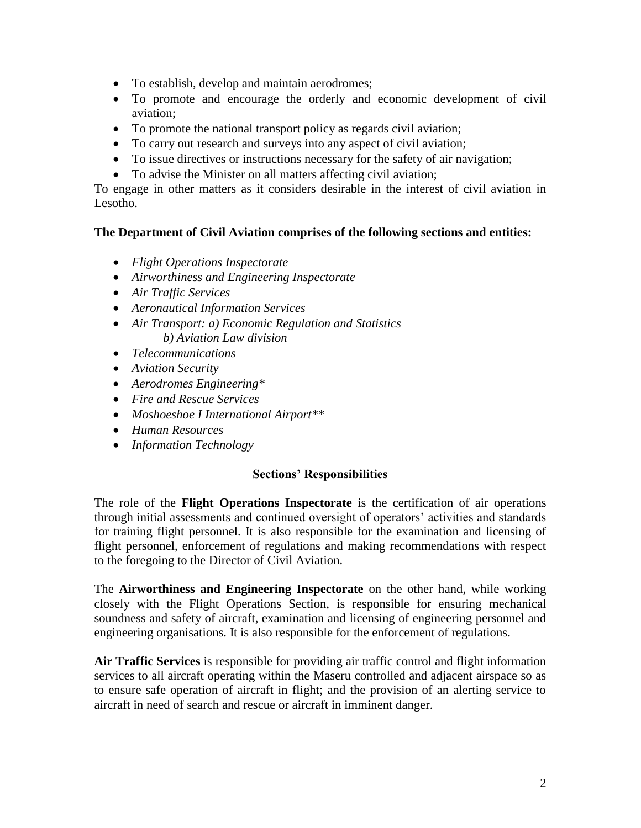- To establish, develop and maintain aerodromes;
- To promote and encourage the orderly and economic development of civil aviation;
- To promote the national transport policy as regards civil aviation;
- To carry out research and surveys into any aspect of civil aviation;
- To issue directives or instructions necessary for the safety of air navigation;
- To advise the Minister on all matters affecting civil aviation;

To engage in other matters as it considers desirable in the interest of civil aviation in Lesotho.

### **The Department of Civil Aviation comprises of the following sections and entities:**

- *Flight Operations Inspectorate*
- *Airworthiness and Engineering Inspectorate*
- *Air Traffic Services*
- *Aeronautical Information Services*
- *Air Transport: a) Economic Regulation and Statistics b) Aviation Law division*
- *Telecommunications*
- *Aviation Security*
- *Aerodromes Engineering\**
- *Fire and Rescue Services*
- *Moshoeshoe I International Airport\*\**
- *Human Resources*
- *Information Technology*

#### **Sections' Responsibilities**

The role of the **Flight Operations Inspectorate** is the certification of air operations through initial assessments and continued oversight of operators' activities and standards for training flight personnel. It is also responsible for the examination and licensing of flight personnel, enforcement of regulations and making recommendations with respect to the foregoing to the Director of Civil Aviation.

The **Airworthiness and Engineering Inspectorate** on the other hand, while working closely with the Flight Operations Section, is responsible for ensuring mechanical soundness and safety of aircraft, examination and licensing of engineering personnel and engineering organisations. It is also responsible for the enforcement of regulations.

**Air Traffic Services** is responsible for providing air traffic control and flight information services to all aircraft operating within the Maseru controlled and adjacent airspace so as to ensure safe operation of aircraft in flight; and the provision of an alerting service to aircraft in need of search and rescue or aircraft in imminent danger.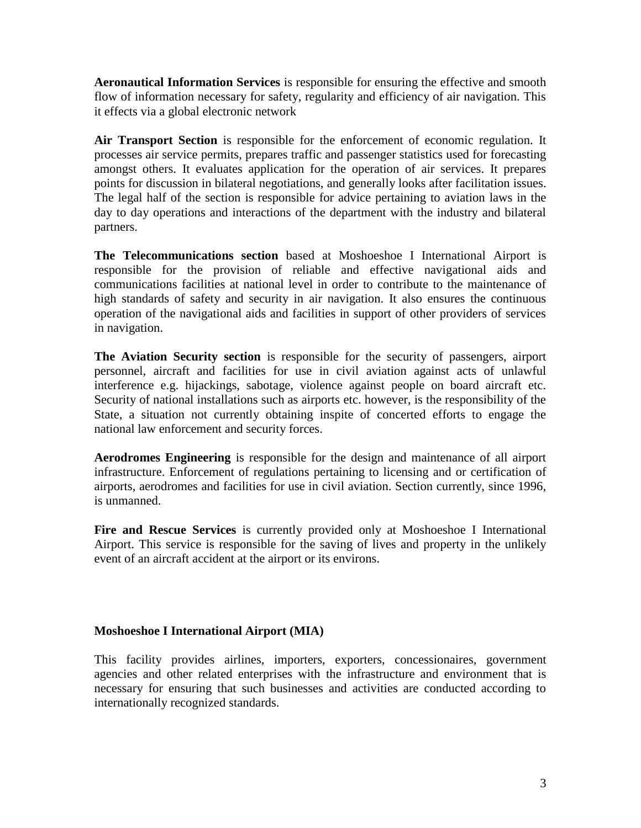**Aeronautical Information Services** is responsible for ensuring the effective and smooth flow of information necessary for safety, regularity and efficiency of air navigation. This it effects via a global electronic network

**Air Transport Section** is responsible for the enforcement of economic regulation. It processes air service permits, prepares traffic and passenger statistics used for forecasting amongst others. It evaluates application for the operation of air services. It prepares points for discussion in bilateral negotiations, and generally looks after facilitation issues. The legal half of the section is responsible for advice pertaining to aviation laws in the day to day operations and interactions of the department with the industry and bilateral partners.

**The Telecommunications section** based at Moshoeshoe I International Airport is responsible for the provision of reliable and effective navigational aids and communications facilities at national level in order to contribute to the maintenance of high standards of safety and security in air navigation. It also ensures the continuous operation of the navigational aids and facilities in support of other providers of services in navigation.

**The Aviation Security section** is responsible for the security of passengers, airport personnel, aircraft and facilities for use in civil aviation against acts of unlawful interference e.g. hijackings, sabotage, violence against people on board aircraft etc. Security of national installations such as airports etc. however, is the responsibility of the State, a situation not currently obtaining inspite of concerted efforts to engage the national law enforcement and security forces.

**Aerodromes Engineering** is responsible for the design and maintenance of all airport infrastructure. Enforcement of regulations pertaining to licensing and or certification of airports, aerodromes and facilities for use in civil aviation. Section currently, since 1996, is unmanned.

**Fire and Rescue Services** is currently provided only at Moshoeshoe I International Airport. This service is responsible for the saving of lives and property in the unlikely event of an aircraft accident at the airport or its environs.

#### **Moshoeshoe I International Airport (MIA)**

This facility provides airlines, importers, exporters, concessionaires, government agencies and other related enterprises with the infrastructure and environment that is necessary for ensuring that such businesses and activities are conducted according to internationally recognized standards.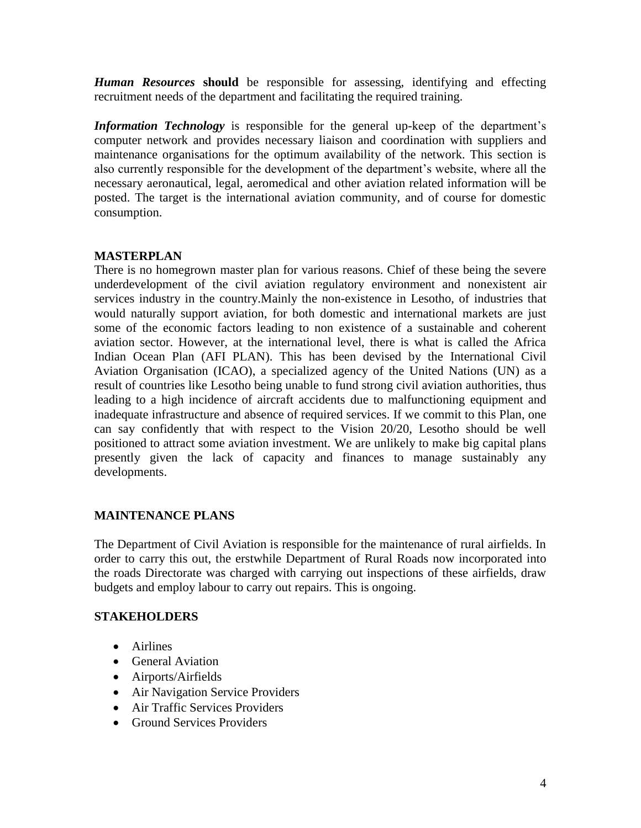*Human Resources* **should** be responsible for assessing, identifying and effecting recruitment needs of the department and facilitating the required training.

*Information Technology* is responsible for the general up-keep of the department's computer network and provides necessary liaison and coordination with suppliers and maintenance organisations for the optimum availability of the network. This section is also currently responsible for the development of the department's website, where all the necessary aeronautical, legal, aeromedical and other aviation related information will be posted. The target is the international aviation community, and of course for domestic consumption.

# **MASTERPLAN**

There is no homegrown master plan for various reasons. Chief of these being the severe underdevelopment of the civil aviation regulatory environment and nonexistent air services industry in the country.Mainly the non-existence in Lesotho, of industries that would naturally support aviation, for both domestic and international markets are just some of the economic factors leading to non existence of a sustainable and coherent aviation sector. However, at the international level, there is what is called the Africa Indian Ocean Plan (AFI PLAN). This has been devised by the International Civil Aviation Organisation (ICAO), a specialized agency of the United Nations (UN) as a result of countries like Lesotho being unable to fund strong civil aviation authorities, thus leading to a high incidence of aircraft accidents due to malfunctioning equipment and inadequate infrastructure and absence of required services. If we commit to this Plan, one can say confidently that with respect to the Vision 20/20, Lesotho should be well positioned to attract some aviation investment. We are unlikely to make big capital plans presently given the lack of capacity and finances to manage sustainably any developments.

# **MAINTENANCE PLANS**

The Department of Civil Aviation is responsible for the maintenance of rural airfields. In order to carry this out, the erstwhile Department of Rural Roads now incorporated into the roads Directorate was charged with carrying out inspections of these airfields, draw budgets and employ labour to carry out repairs. This is ongoing.

# **STAKEHOLDERS**

- Airlines
- General Aviation
- Airports/Airfields
- Air Navigation Service Providers
- Air Traffic Services Providers
- Ground Services Providers